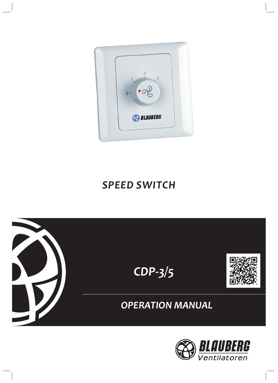

*OPERATION MANUAL* 



# *CDP-3/5*









*SPEED SWITCH*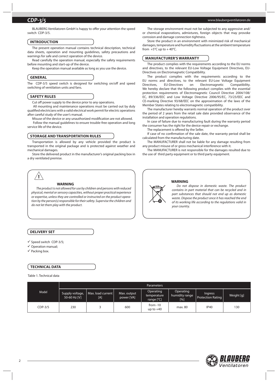BLAUBERG Ventilatoren GmbH is happy to offer your attention the speed switch CDP-3/5.

#### **INTRODUCTION**

The present operation manual contains technical description, technical data sheets, operation and mounting guidelines, safety precautions and warnings for safe and correct operation of the device.

Read carefully the operation manual, especially the safety requirements before mounting and start-up of the device.

Keep the operation manual available as long as you use the device.

#### **GENERAL**

The CDP-3/5 speed switch is designed for switching on/off and speed switching of ventilation units and fans.

#### **SAFETY RULES**

Cut off power supply to the device prior to any operations.

 All mounting and maintenance operations must be carried out by duly qualified electricians with a valid electrical work permit for electric operations after careful study of the user's manual.

Misuse of the device or any unauthorized modification are not allowed. Follow the manual guidelines to ensure trouble-free operation and long service life of the device.

### **STORAGE AND TRANSPORTATION RULES**

Transportation is allowed by any vehicle provided the product is transported in the original package and is protected against weather and mechanical damages.

Store the delivered product in the manufacturer's original packing box in a dry ventilated premise.



#### **WARNING**

The product is not allowed for use by children and persons with reduced physical, mental or sensory capacities, without proper practical experience or expertise, unless they are controlled or instructed on the product operation by the person(s) responsible for their safety. Supervise the children and do not let them play with the product.

**DELIVERY SET**

 $\checkmark$  Speed switch CDP-3/5;

 $\checkmark$  Operation manual;

 $\checkmark$  Packing box.

#### **TECHNICAL DATA**

Table 1. Technical data

|           | <b>Parameters</b>               |                            |                           |                                                 |                                    |                                     |            |  |  |
|-----------|---------------------------------|----------------------------|---------------------------|-------------------------------------------------|------------------------------------|-------------------------------------|------------|--|--|
| Model     | Supply voltage,<br>50-60 Hz [V] | Max. load current  <br>[A] | Max. output<br>power [VA] | Operating<br>temperature<br>range $[^{\circ}C]$ | Operating<br>humidity range<br>[%] | <b>Ingress</b><br>Protection Rating | Weight [q] |  |  |
| $CDP-3/5$ | 230                             |                            | 600                       | from $-10$<br>up to $+40$                       | max. 80                            | <b>IP40</b>                         | 130        |  |  |



The storage environment must not be subjected to any aggressive and/ or chemical evaporations, admixtures, foreign objects that may provoke corrosion and damage connection tightness.

Store the product in an environment with minimized risk of mechanical damages, temperature and humidity fluctuations at the ambient temperature from  $+5^{\circ}$ C up to  $+40^{\circ}$ C.

#### **MANUFACTURER'S WARRANTY**

The product complies with the requirements according to the EU norms and directives, to the relevant EU-Low Voltage Equipment Directives, EU-Directives on Electromagnetic Compatibility.

The product complies with the requirements according to the EU norms and directives, to the relevant EU-Low Voltage Equipment Directives, EU-Directives on Electromagnetic Compatibility. We hereby declare that the following product complies with the essential protection requirements of Electromagnetic Council Directive 2004/108/ EC, 89/336/EEC and Low Voltage Directive 2006/95/EC, 73/23/EEC and CE-marking Directive 93/68/EEC on the approximation of the laws of the Member States relating to electromagnetic compatibility.

The manufacturer hereby warrants normal operation of the product over the period of 2 years from the retail sale date provided observance of the installation and operation regulations.

In case of failure due to manufacturing fault during the warranty period the consumer has the right for the device repair or exchange.

The replacement is offered by the Seller.

If case of no confirmation of the sale date, the warranty period shall be calculated from the manufacturing date.

The MANUFACTURER shall not be liable for any damage resulting from any product misuse of or gross mechanical interference with it.

The MANUFACTURER is not responsible for the damages resulted due to the use of third party equipment or to third party equipment.

#### **WARNING**

Do not dispose in domestic waste. The product contains in part material that can be recycled and in part substances that should not end up as domestic waste. Dispose the product once it has reached the end of its working life according to the regulations valid in your country.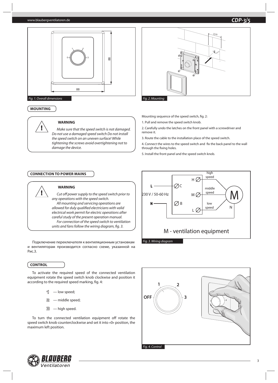#### www.blaubergventilatoren.de



# **MOUNTING**

**!**

#### **WARNING**

Make sure that the speed switch is not damaged. Do not use a damaged speed switch Do not install the speed switch on an uneven surface! While tightening the screws avoid overtightening not to damage the device.

## **CONNECTION TO POWER MAINS**



## **WARNING**

Cut off power supply to the speed switch prior to any operations with the speed switch. All mounting and servicing operations are allowed for duly qualified electricians with valid electrical work permit for electric operations after careful study of the present operation manual. For connection of the speed switch to ventilation units and fans follow the wiring diagram, fig. 3.

Подключение переключателя к вентиляционным установкам и вентиляторам производится согласно схеме, указанной на Рис.3.

## **CONTROL**

To activate the required speed of the connected ventilation equipment rotate the speed switch knob clockwise and position it according to the required speed marking, fig. 4:

— low speed;

 — middle speed; 冒

— high speed.

To turn the connected ventilation equipment off rotate the speed switch knob counterclockwise and set it into «0» position, the maximum left position.



Mounting sequence of the speed switch, fig. 2:

- 1. Pull and remove the speed switch knob.
- 2. Carefully undo the latches on the front panel with a screwdriver and remove it.
- 3. Route the cable to the installation place of the speed switch.

4. Connect the wires to the speed switch and fix the back panel to the wall through the fixing holes.

5. Install the front panel and the speed switch knob.